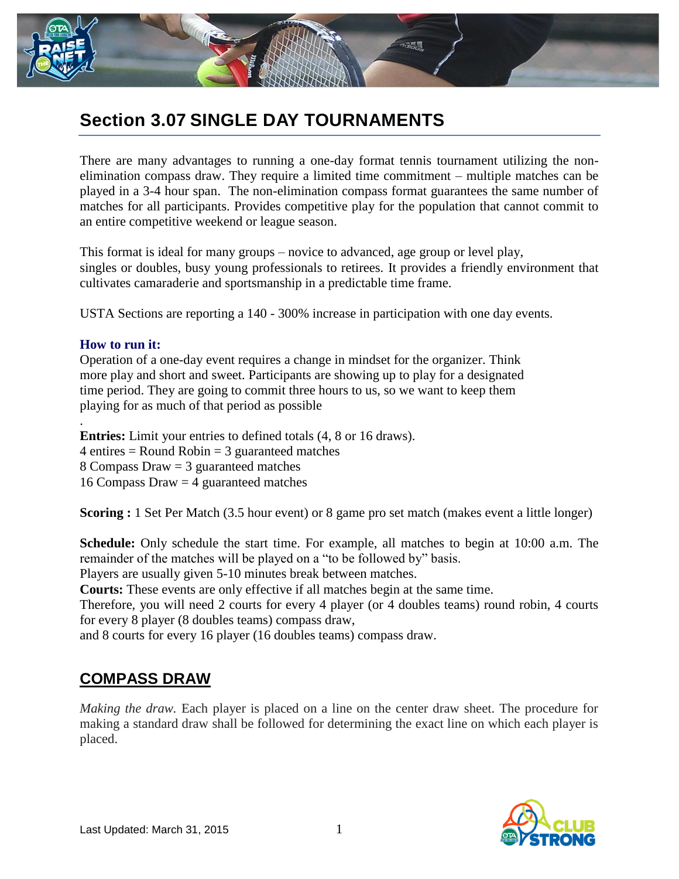

## **Section 3.07 SINGLE DAY TOURNAMENTS**

There are many advantages to running a one-day format tennis tournament utilizing the nonelimination compass draw. They require a limited time commitment – multiple matches can be played in a 3-4 hour span. The non-elimination compass format guarantees the same number of matches for all participants. Provides competitive play for the population that cannot commit to an entire competitive weekend or league season.

This format is ideal for many groups – novice to advanced, age group or level play, singles or doubles, busy young professionals to retirees. It provides a friendly environment that cultivates camaraderie and sportsmanship in a predictable time frame.

USTA Sections are reporting a 140 - 300% increase in participation with one day events.

## **How to run it:**

Operation of a one-day event requires a change in mindset for the organizer. Think more play and short and sweet. Participants are showing up to play for a designated time period. They are going to commit three hours to us, so we want to keep them playing for as much of that period as possible

. **Entries:** Limit your entries to defined totals (4, 8 or 16 draws).  $4$  entires = Round Robin = 3 guaranteed matches 8 Compass Draw = 3 guaranteed matches 16 Compass Draw = 4 guaranteed matches

**Scoring :** 1 Set Per Match (3.5 hour event) or 8 game pro set match (makes event a little longer)

**Schedule:** Only schedule the start time. For example, all matches to begin at 10:00 a.m. The remainder of the matches will be played on a "to be followed by" basis.

Players are usually given 5-10 minutes break between matches.

**Courts:** These events are only effective if all matches begin at the same time.

Therefore, you will need 2 courts for every 4 player (or 4 doubles teams) round robin, 4 courts for every 8 player (8 doubles teams) compass draw,

and 8 courts for every 16 player (16 doubles teams) compass draw.

## **COMPASS DRAW**

*Making the draw.* Each player is placed on a line on the center draw sheet. The procedure for making a standard draw shall be followed for determining the exact line on which each player is placed.

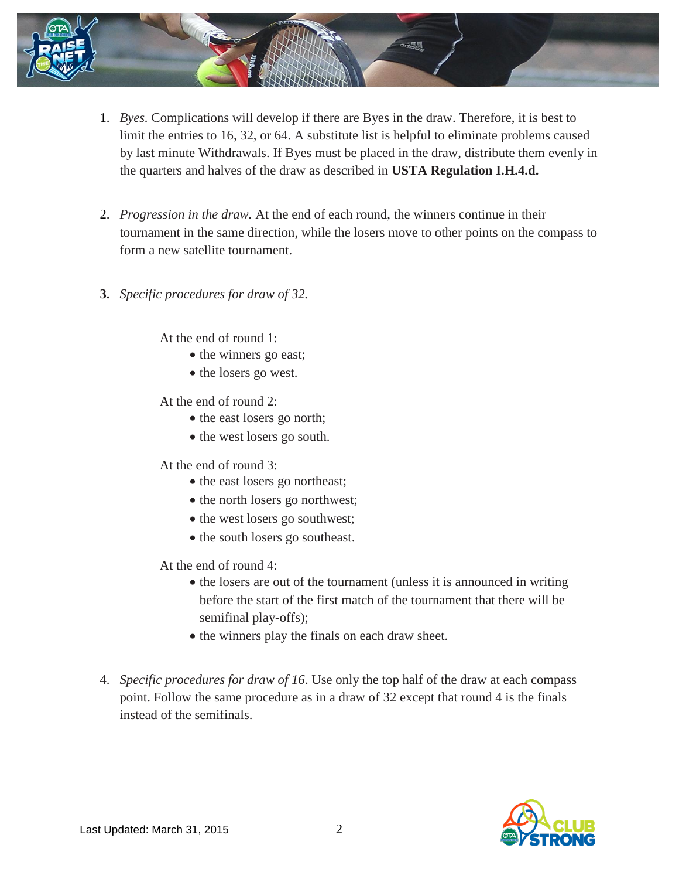

- 1. *Byes.* Complications will develop if there are Byes in the draw. Therefore, it is best to limit the entries to 16, 32, or 64. A substitute list is helpful to eliminate problems caused by last minute Withdrawals. If Byes must be placed in the draw, distribute them evenly in the quarters and halves of the draw as described in **USTA Regulation I.H.4.d.**
- 2. *Progression in the draw.* At the end of each round, the winners continue in their tournament in the same direction, while the losers move to other points on the compass to form a new satellite tournament.
- **3.** *Specific procedures for draw of 32.*

At the end of round 1:

- the winners go east;
- the losers go west.

At the end of round 2:

- the east losers go north;
- the west losers go south.

At the end of round 3:

- the east losers go northeast;
- the north losers go northwest;
- the west losers go southwest;
- the south losers go southeast.

At the end of round 4:

- the losers are out of the tournament (unless it is announced in writing before the start of the first match of the tournament that there will be semifinal play-offs);
- the winners play the finals on each draw sheet.
- 4. *Specific procedures for draw of 16*. Use only the top half of the draw at each compass point. Follow the same procedure as in a draw of 32 except that round 4 is the finals instead of the semifinals.

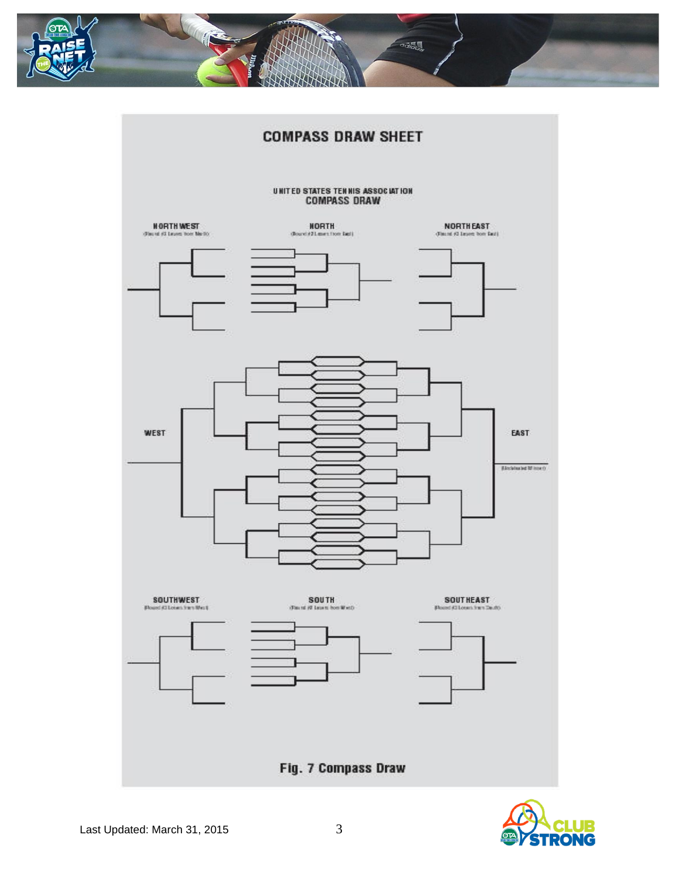